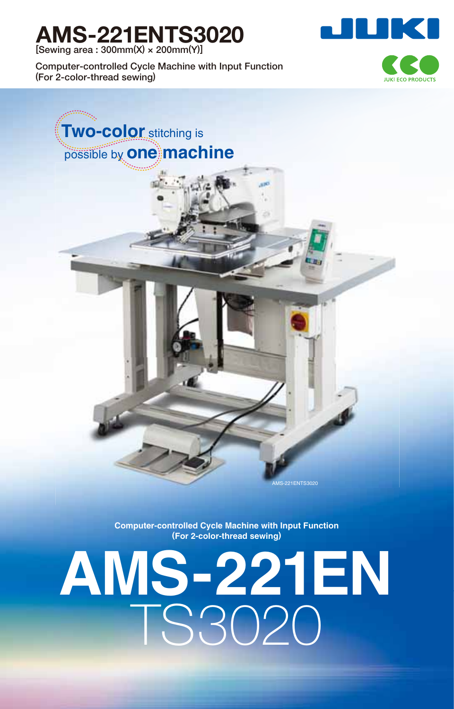## **AMS-221ENTS3020**

**[Sewing area : 300mm(X) × 200mm(Y)]**

**Computer-controlled Cycle Machine with Input Function (For 2-color-thread sewing)**





**Computer-controlled Cycle Machine with Input Function (For 2-color-thread sewing)**

# **AMS-221EN** TS3020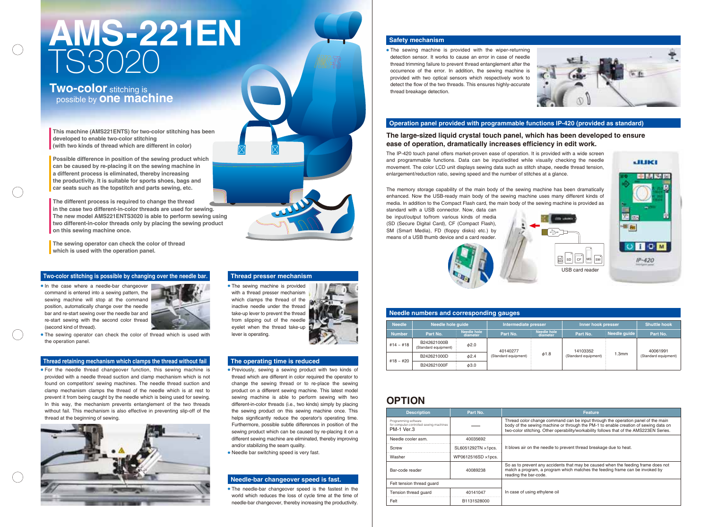• The sewing machine is provided with the wiper-returning detection sensor. It works to cause an error in case of needle thread trimming failure to prevent thread entanglement after the occurrence of the error. In addition, the sewing machine is provided with two optical sensors which respectively work to detect the flow of the two threads. This ensures highly-accurate thread breakage detection.



| <b>Needle numbers and corresponding gauges</b> |                                     |                                |                                  |                         |                                  |              |                                  |  |
|------------------------------------------------|-------------------------------------|--------------------------------|----------------------------------|-------------------------|----------------------------------|--------------|----------------------------------|--|
| <b>Needle</b>                                  | Needle hole quide                   |                                | Intermediate presser             |                         | Inner hook presser               |              | <b>Shuttle hook</b>              |  |
| <b>Number</b>                                  | Part No.                            | <b>Needle hole</b><br>diameter | Part No.                         | Needle hole<br>diameter | Part No.                         | Needle quide | Part No.                         |  |
| #14 ~ #18                                      | B242621000B<br>(Standard equipment) | $\phi$ 2.0                     | 40140277<br>(Standard equipment) | $\phi$ 1.8              | 14103352<br>(Standard equipment) | l.3mm        | 40061991<br>(Standard equipment) |  |
| #18 ~ #20                                      | B242621000D                         | $\phi$ 2.4                     |                                  |                         |                                  |              |                                  |  |
|                                                | B242621000F                         | $\phi$ 3.0                     |                                  |                         |                                  |              |                                  |  |

#### **The large-sized liquid crystal touch panel, which has been developed to ensure ease of operation, dramatically increases efficiency in edit work.**

The IP-420 touch panel offers market-proven ease of operation. It is provided with a wide screen and programmable functions. Data can be input/edited while visually checking the needle movement. The color LCD unit displays sewing data such as stitch shape, needle thread tension, enlargement/reduction ratio, sewing speed and the number of stitches at a glance.

• In the case where a needle-bar changeover command is entered into a sewing pattern, the sewing machine will stop at the command position, automatically change over the needle bar and re-start sewing over the needle bar and re-start sewing with the second color thread (second kind of thread).



#### **Safety mechanism**

#### **Operation panel provided with programmable functions IP-420 (provided as standard)**

#### **Needle numbers and corresponding gauges**

The memory storage capability of the main body of the sewing machine has been dramatically enhanced. Now the USB-ready main body of the sewing machine uses many different kinds of media. In addition to the Compact Flash card, the main body of the sewing machine is provided as

• The sewing machine is provided with a thread presser mechanism which clamps the thread of the inactive needle under the thread take-up lever to prevent the thread from slipping out of the needle eyelet when the thread take-up lever is operating.



standard with a USB connector. Now, data can be input/output to/from various kinds of media (SD (Secure Digital Card), CF (Compact Flash), SM (Smart Media), FD (floppy disks) etc.) by means of a USB thumb device and a card reader.



#### **Two-color stitching is possible by changing over the needle bar.**

• The needle-bar changeover speed is the fastest in the world which reduces the loss of cycle time at the time of needle-bar changeover, thereby increasing the productivity.

#### **Thread retaining mechanism which clamps the thread without fail**

• The sewing operator can check the color of thread which is used with the operation panel.

For the needle thread changeover function, this sewing machine is provided with a needle thread suction and clamp mechanism which is not found on competitors' sewing machines. The needle thread suction and clamp mechanism clamps the thread of the needle which is at rest to prevent it from being caught by the needle which is being used for sewing. In this way, the mechanism prevents entanglement of the two threads without fail. This mechanism is also effective in preventing slip-off of the thread at the beginning of sewing.



### **Two-color** stitching is possible by **one machine**

- Previously, sewing a sewing product with two kinds of thread which are different in color required the operator to change the sewing thread or to re-place the sewing product on a different sewing machine. This latest model sewing machine is able to perform sewing with two different-in-color threads (i.e., two kinds) simply by placing the sewing product on this sewing machine once. This helps significantly reduce the operator's operating time. Furthermore, possible subtle differences in position of the sewing product which can be caused by re-placing it on a different sewing machine are eliminated, thereby improving and/or stabilizing the seam quality.
- Needle bar switching speed is very fast.

#### **Needle-bar changeover speed is fast.**

#### **Thread presser mechanism**

#### **The operating time is reduced**

#### **OPTION**

| <b>Description</b>                                                            | Part No.                   | <b>Feature</b>                                                                                                                                          |  |  |
|-------------------------------------------------------------------------------|----------------------------|---------------------------------------------------------------------------------------------------------------------------------------------------------|--|--|
| Programming software<br>for computer-controlled sewing machines<br>PM-1 Ver.3 |                            | Thread color change command can be input thro<br>body of the sewing machine or through the PM-1<br>two-color stitching. Other operability/workability f |  |  |
| Needle cooler asm.                                                            | 40035692                   |                                                                                                                                                         |  |  |
| Screw                                                                         | SL6051292TN ×1pcs.         | It blows air on the needle to prevent thread breal                                                                                                      |  |  |
| Washer                                                                        | WP0612516SD $\times$ 1pcs. |                                                                                                                                                         |  |  |
| Bar-code reader                                                               | 40089238                   | So as to prevent any accidents that may be caus<br>match a program, a program which matches the<br>reading the bar-code.                                |  |  |
| Felt tension thread quard                                                     |                            | In case of using ethylene oil                                                                                                                           |  |  |
| Tension thread quard                                                          | 40141047                   |                                                                                                                                                         |  |  |
| Felt                                                                          | B1131528000                |                                                                                                                                                         |  |  |



JUKI

Id can be input through the operation panel of the main through the PM-1 to enable creation of sewing data on rability/workability follows that of the AMS223EN Series.

revent thread breakage due to heat.

ts that may be caused when the feeding frame does not which matches the feeding frame can be invoked by

**This machine (AMS221ENTS) for two-color stitching has been developed to enable two-color stitching (with two kinds of thread which are different in color)**

**The different process is required to change the thread in the case two different-in-color threads are used for sewing. The new model AMS221ENTS3020 is able to perform sewing using two different-in-color threads only by placing the sewing product on this sewing machine once.**

**Possible difference in position of the sewing product which can be caused by re-placing it on the sewing machine in a different process is eliminated, thereby increasing the productivity. It is suitable for sports shoes, bags and car seats such as the topstitch and parts sewing, etc.** 

**The sewing operator can check the color of thread which is used with the operation panel.**

## **AMS-221EN** TS3020